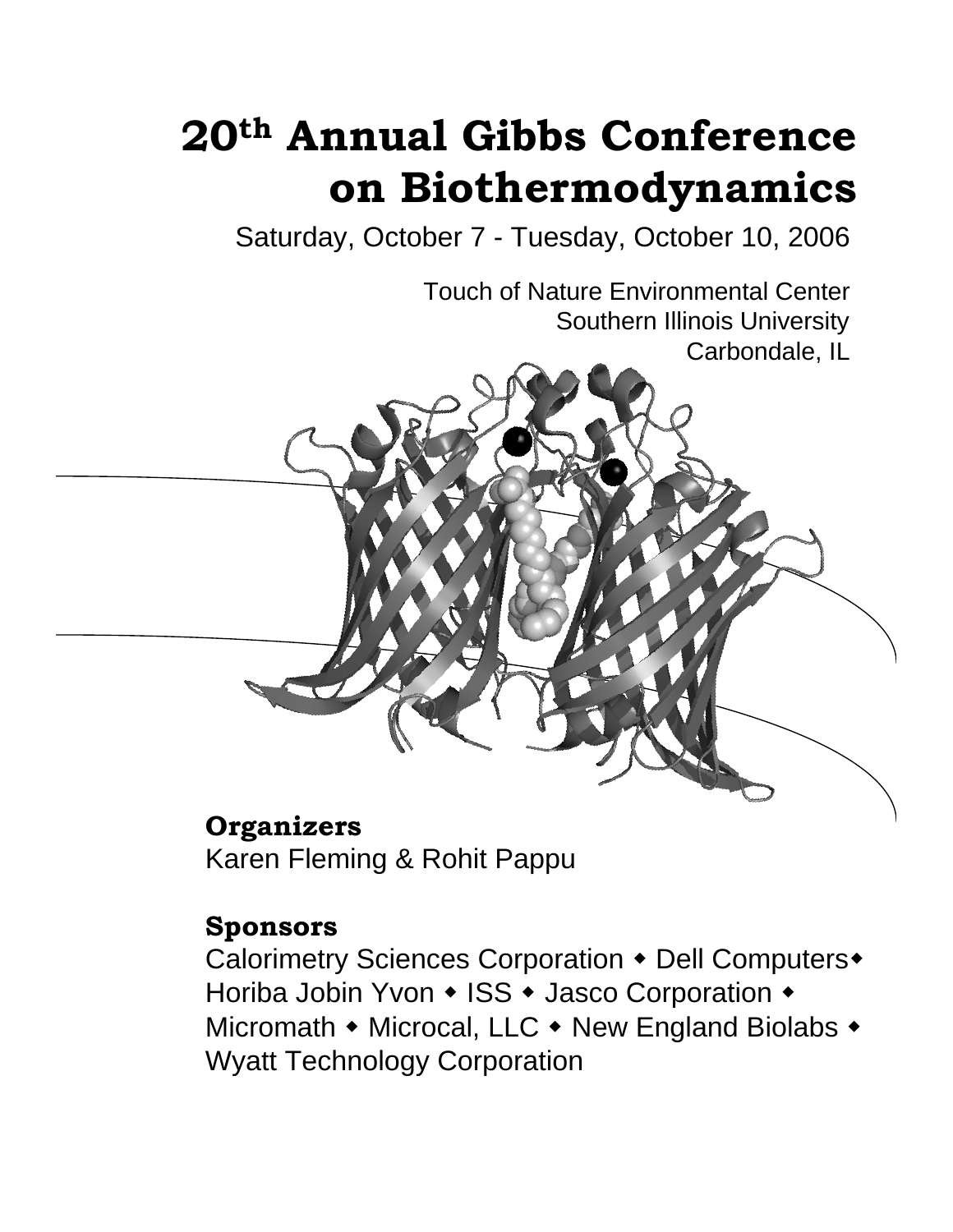# **20th Annual Gibbs Conference on Biothermodynamics**

Saturday, October 7 - Tuesday, October 10, 2006

Touch of Nature Environmental Center Southern Illinois University Carbondale, IL

# **Organizers**

Karen Fleming & Rohit Pappu

# **Sponsors**

Calorimetry Sciences Corporation • Dell Computers • Horiba Jobin Yvon • ISS • Jasco Corporation • Micromath  $\bullet$  Microcal, LLC  $\bullet$  New England Biolabs  $\bullet$ Wyatt Technology Corporation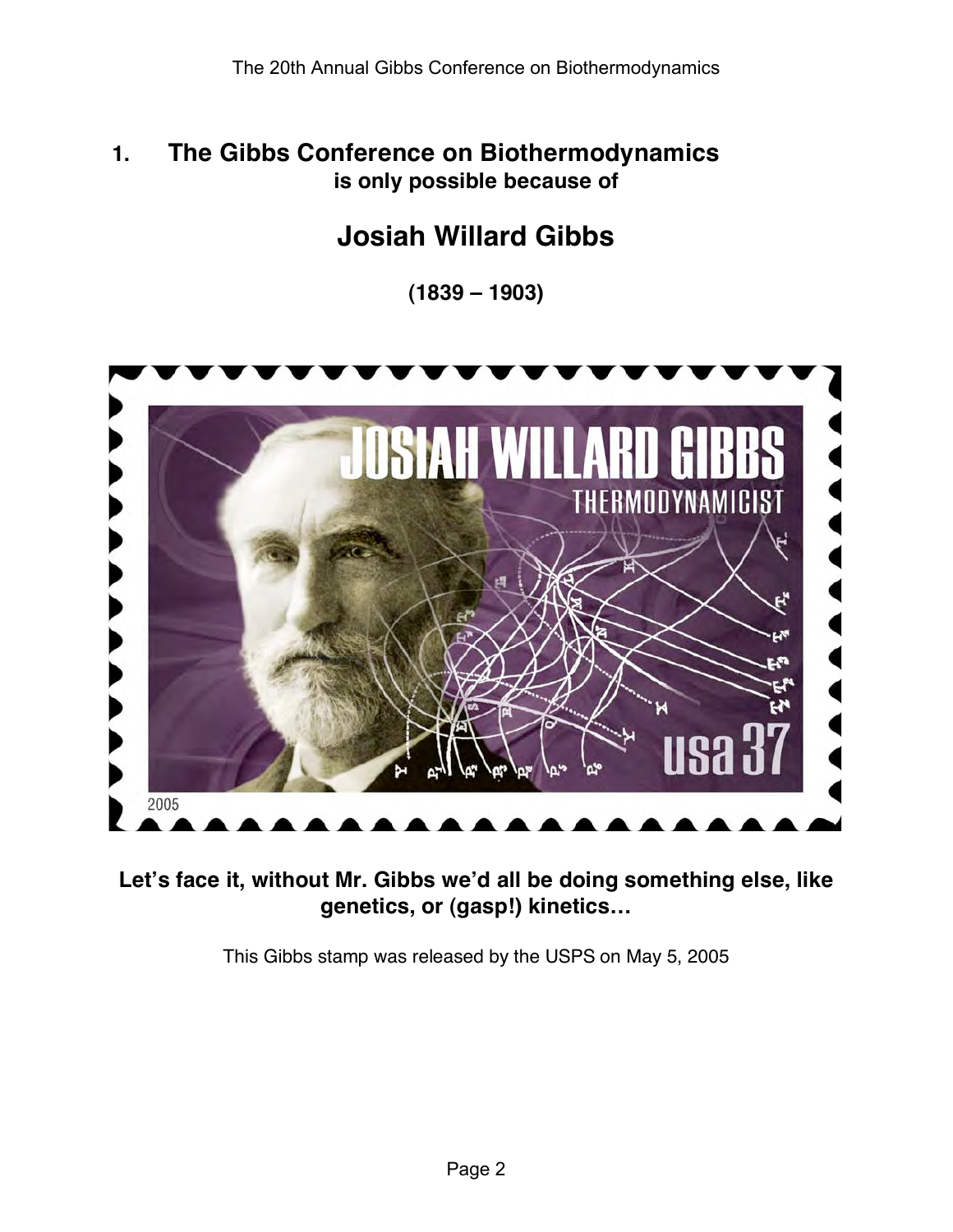### **1. The Gibbs Conference on Biothermodynamics is only possible because of**

# **Josiah Willard Gibbs**

**(1839 – 1903)**



**Let's face it, without Mr. Gibbs we'd all be doing something else, like genetics, or (gasp!) kinetics…**

This Gibbs stamp was released by the USPS on May 5, 2005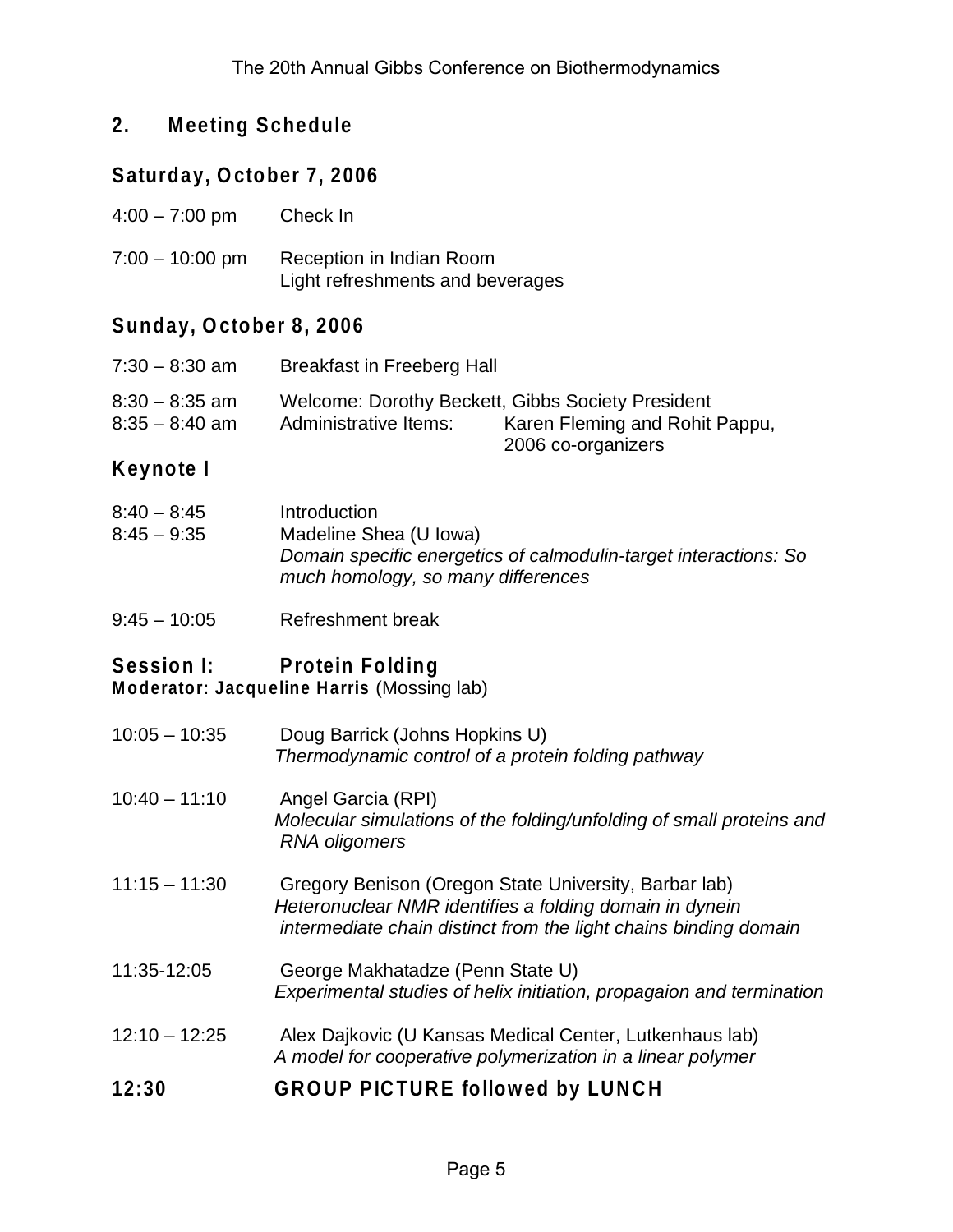#### **2. Meeting Schedule**

#### **Saturday, October 7, 2006**

| $4:00 - 7:00$ pm | Check In |
|------------------|----------|
|------------------|----------|

7:00 – 10:00 pm Reception in Indian Room Light refreshments and beverages

#### **Sunday, October 8, 2006**

| $7:30 - 8:30$ am | <b>Breakfast in Freeberg Hall</b>                 |                                |
|------------------|---------------------------------------------------|--------------------------------|
| $8:30 - 8:35$ am | Welcome: Dorothy Beckett, Gibbs Society President | Karen Fleming and Rohit Pappu, |
| $8:35 - 8:40$ am | Administrative Items:                             | 2006 co-organizers             |

#### **Keynote I**

| $8:40 - 8:45$ | Introduction                                                                                           |
|---------------|--------------------------------------------------------------------------------------------------------|
| $8:45 - 9:35$ | Madeline Shea (U Iowa)                                                                                 |
|               | Domain specific energetics of calmodulin-target interactions: So<br>much homology, so many differences |
|               |                                                                                                        |

9:45 – 10:05 Refreshment break

#### **Session I: Protein Folding**

**Moderator: Jacqueline Harris** (Mossing lab)

- 10:05 10:35 Doug Barrick (Johns Hopkins U) *Thermodynamic control of a protein folding pathway*
- 10:40 11:10 Angel Garcia (RPI) *Molecular simulations of the folding/unfolding of small proteins and RNA oligomers*
- 11:15 11:30 Gregory Benison (Oregon State University, Barbar lab) *Heteronuclear NMR identifies a folding domain in dynein intermediate chain distinct from the light chains binding domain*
- 11:35-12:05 George Makhatadze (Penn State U) *Experimental studies of helix initiation, propagaion and termination*
- 12:10 12:25 Alex Dajkovic (U Kansas Medical Center, Lutkenhaus lab) *A model for cooperative polymerization in a linear polymer*

#### **12:30 GROUP PICTURE followed by LUNCH**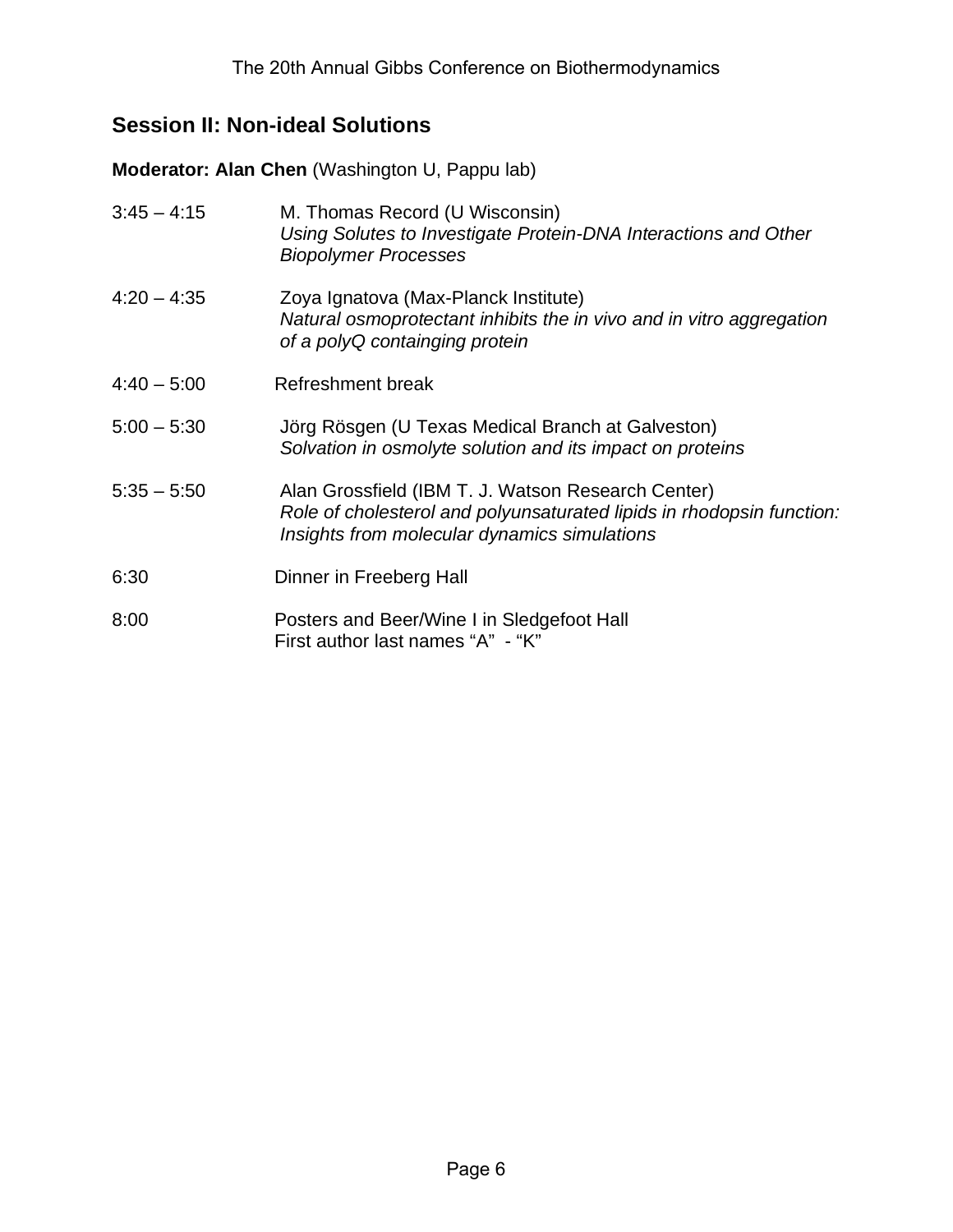## **Session II: Non-ideal Solutions**

**Moderator: Alan Chen** (Washington U, Pappu lab)

| $3:45 - 4:15$ | M. Thomas Record (U Wisconsin)<br>Using Solutes to Investigate Protein-DNA Interactions and Other<br><b>Biopolymer Processes</b>                                            |
|---------------|-----------------------------------------------------------------------------------------------------------------------------------------------------------------------------|
| $4:20 - 4:35$ | Zoya Ignatova (Max-Planck Institute)<br>Natural osmoprotectant inhibits the in vivo and in vitro aggregation<br>of a polyQ containging protein                              |
| $4:40 - 5:00$ | Refreshment break                                                                                                                                                           |
| $5:00 - 5:30$ | Jörg Rösgen (U Texas Medical Branch at Galveston)<br>Solvation in osmolyte solution and its impact on proteins                                                              |
| $5:35 - 5:50$ | Alan Grossfield (IBM T. J. Watson Research Center)<br>Role of cholesterol and polyunsaturated lipids in rhodopsin function:<br>Insights from molecular dynamics simulations |
| 6:30          | Dinner in Freeberg Hall                                                                                                                                                     |
| 8:00          | Posters and Beer/Wine I in Sledgefoot Hall<br>First author last names "A" - "K"                                                                                             |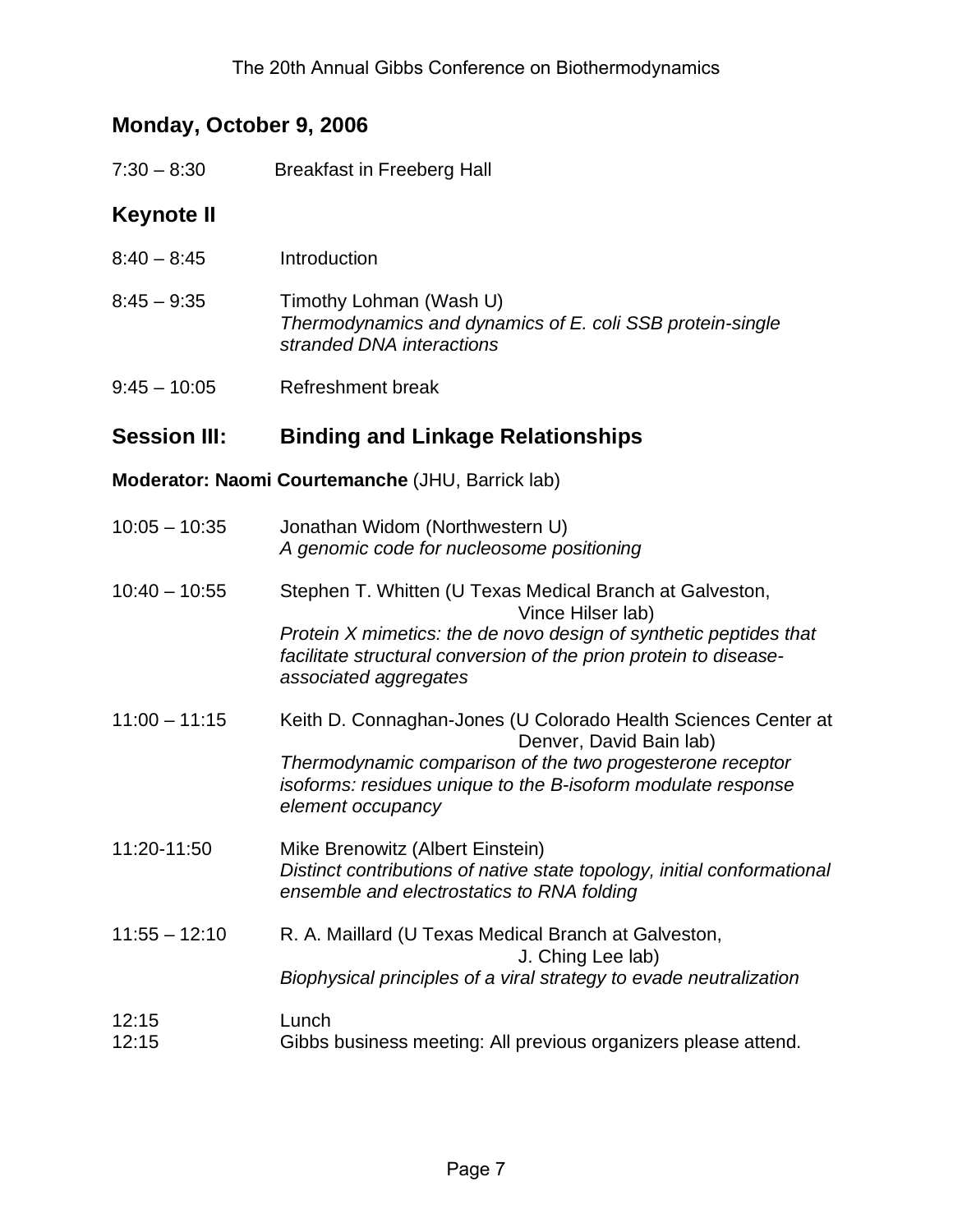## **Monday, October 9, 2006**

| $7:30 - 8:30$       | <b>Breakfast in Freeberg Hall</b>                                                                                                                                                                                                                |
|---------------------|--------------------------------------------------------------------------------------------------------------------------------------------------------------------------------------------------------------------------------------------------|
| <b>Keynote II</b>   |                                                                                                                                                                                                                                                  |
| $8:40 - 8:45$       | Introduction                                                                                                                                                                                                                                     |
| $8:45 - 9:35$       | Timothy Lohman (Wash U)<br>Thermodynamics and dynamics of E. coli SSB protein-single<br>stranded DNA interactions                                                                                                                                |
| $9:45 - 10:05$      | <b>Refreshment break</b>                                                                                                                                                                                                                         |
| <b>Session III:</b> | <b>Binding and Linkage Relationships</b>                                                                                                                                                                                                         |
|                     | Moderator: Naomi Courtemanche (JHU, Barrick lab)                                                                                                                                                                                                 |
| $10:05 - 10:35$     | Jonathan Widom (Northwestern U)<br>A genomic code for nucleosome positioning                                                                                                                                                                     |
| $10:40 - 10:55$     | Stephen T. Whitten (U Texas Medical Branch at Galveston,<br>Vince Hilser lab)<br>Protein X mimetics: the de novo design of synthetic peptides that<br>facilitate structural conversion of the prion protein to disease-<br>associated aggregates |
| $11:00 - 11:15$     | Keith D. Connaghan-Jones (U Colorado Health Sciences Center at<br>Denver, David Bain lab)<br>Thermodynamic comparison of the two progesterone receptor<br>isoforms: residues unique to the B-isoform modulate response<br>element occupancy      |
| 11:20-11:50         | Mike Brenowitz (Albert Einstein)<br>Distinct contributions of native state topology, initial conformational<br>ensemble and electrostatics to RNA folding                                                                                        |
| $11:55 - 12:10$     | R. A. Maillard (U Texas Medical Branch at Galveston,<br>J. Ching Lee lab)<br>Biophysical principles of a viral strategy to evade neutralization                                                                                                  |
| 12:15<br>12:15      | Lunch<br>Gibbs business meeting: All previous organizers please attend.                                                                                                                                                                          |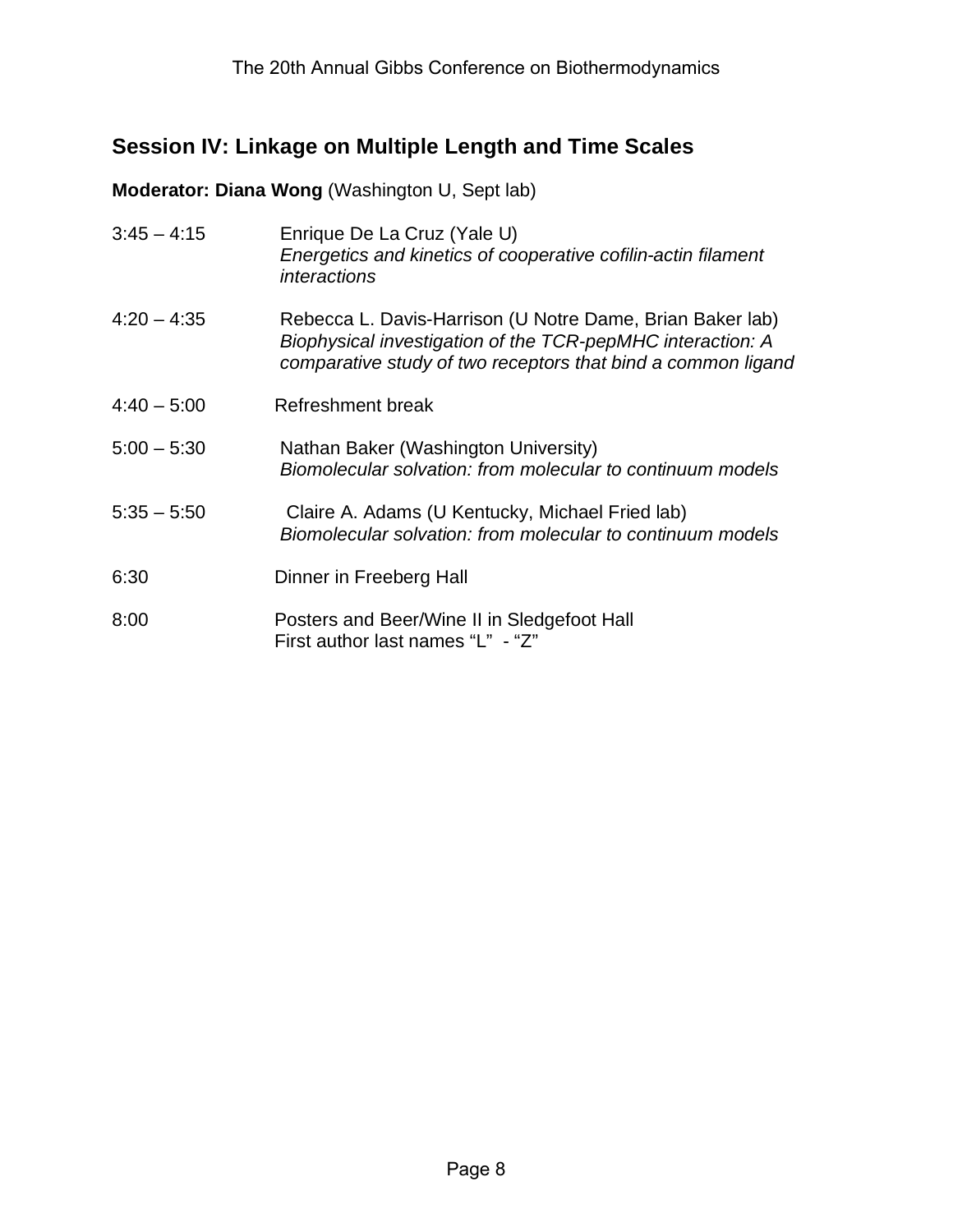#### **Session IV: Linkage on Multiple Length and Time Scales**

#### **Moderator: Diana Wong** (Washington U, Sept lab)

| $3:45 - 4:15$ | Enrique De La Cruz (Yale U)<br>Energetics and kinetics of cooperative cofilin-actin filament<br>interactions                                                                            |
|---------------|-----------------------------------------------------------------------------------------------------------------------------------------------------------------------------------------|
| $4:20 - 4:35$ | Rebecca L. Davis-Harrison (U Notre Dame, Brian Baker lab)<br>Biophysical investigation of the TCR-pepMHC interaction: A<br>comparative study of two receptors that bind a common ligand |
| $4:40 - 5:00$ | Refreshment break                                                                                                                                                                       |
| $5:00 - 5:30$ | Nathan Baker (Washington University)<br>Biomolecular solvation: from molecular to continuum models                                                                                      |
| $5:35 - 5:50$ | Claire A. Adams (U Kentucky, Michael Fried lab)<br>Biomolecular solvation: from molecular to continuum models                                                                           |
| 6:30          | Dinner in Freeberg Hall                                                                                                                                                                 |
| 8:00          | Posters and Beer/Wine II in Sledgefoot Hall<br>First author last names "L" - "Z"                                                                                                        |